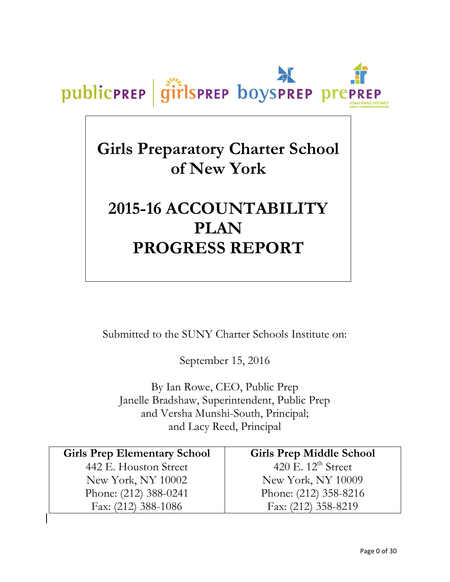# girlsprep boysprep prep publicPREP

# **Girls Preparatory Charter School of New York**

# **2015-16 ACCOUNTABILITY PLAN PROGRESS REPORT**

Submitted to the SUNY Charter Schools Institute on:

September 15, 2016

By Ian Rowe, CEO, Public Prep Janelle Bradshaw, Superintendent, Public Prep and Versha Munshi-South, Principal; and Lacy Reed, Principal

| <b>Girls Prep Elementary School</b> | <b>Girls Prep Middle School</b> |
|-------------------------------------|---------------------------------|
| 442 E. Houston Street               | 420 E. $12^{th}$ Street         |
| <b>New York, NY 10002</b>           | New York, NY 10009              |
| Phone: (212) 388-0241               | Phone: (212) 358-8216           |
| Fax: (212) 388-1086                 | Fax: (212) 358-8219             |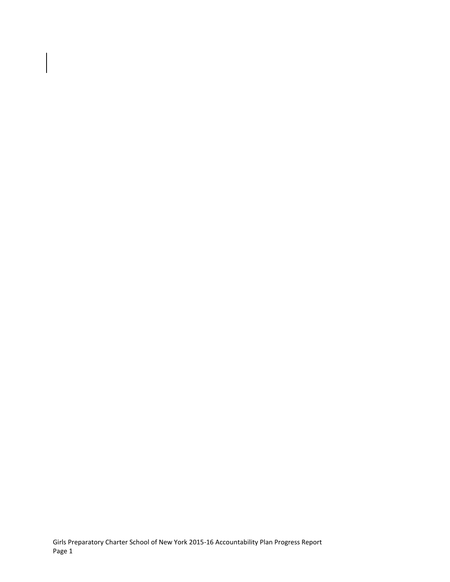Girls Preparatory Charter School of New York 2015-16 Accountability Plan Progress Report Page 1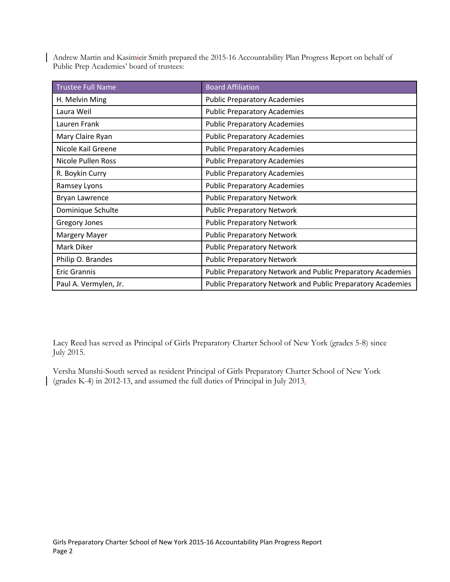Andrew Martin and Kasimieir Smith prepared the 2015-16 Accountability Plan Progress Report on behalf of Public Prep Academies' board of trustees:

| <b>Trustee Full Name</b> | <b>Board Affiliation</b>                                    |
|--------------------------|-------------------------------------------------------------|
| H. Melvin Ming           | <b>Public Preparatory Academies</b>                         |
| Laura Weil               | <b>Public Preparatory Academies</b>                         |
| Lauren Frank             | <b>Public Preparatory Academies</b>                         |
| Mary Claire Ryan         | <b>Public Preparatory Academies</b>                         |
| Nicole Kail Greene       | <b>Public Preparatory Academies</b>                         |
| Nicole Pullen Ross       | <b>Public Preparatory Academies</b>                         |
| R. Boykin Curry          | <b>Public Preparatory Academies</b>                         |
| Ramsey Lyons             | <b>Public Preparatory Academies</b>                         |
| Bryan Lawrence           | <b>Public Preparatory Network</b>                           |
| Dominique Schulte        | <b>Public Preparatory Network</b>                           |
| <b>Gregory Jones</b>     | <b>Public Preparatory Network</b>                           |
| Margery Mayer            | <b>Public Preparatory Network</b>                           |
| Mark Diker               | <b>Public Preparatory Network</b>                           |
| Philip O. Brandes        | <b>Public Preparatory Network</b>                           |
| <b>Eric Grannis</b>      | Public Preparatory Network and Public Preparatory Academies |
| Paul A. Vermylen, Jr.    | Public Preparatory Network and Public Preparatory Academies |

Lacy Reed has served as Principal of Girls Preparatory Charter School of New York (grades 5-8) since July 2015.

Versha Munshi-South served as resident Principal of Girls Preparatory Charter School of New York (grades K-4) in 2012-13, and assumed the full duties of Principal in July 2013.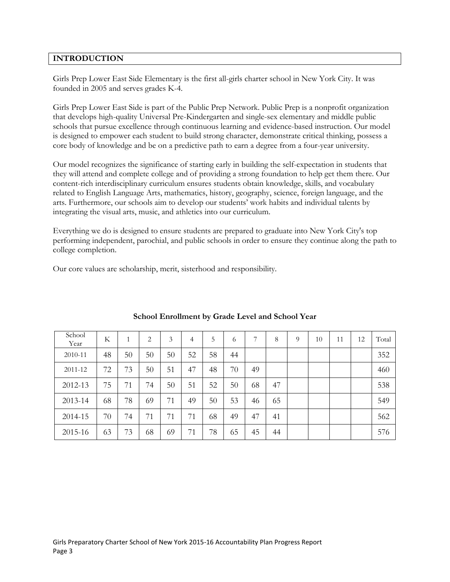# **INTRODUCTION**

Girls Prep Lower East Side Elementary is the first all-girls charter school in New York City. It was founded in 2005 and serves grades K-4.

Girls Prep Lower East Side is part of the Public Prep Network. Public Prep is a nonprofit organization that develops high-quality Universal Pre-Kindergarten and single-sex elementary and middle public schools that pursue excellence through continuous learning and evidence-based instruction. Our model is designed to empower each student to build strong character, demonstrate critical thinking, possess a core body of knowledge and be on a predictive path to earn a degree from a four-year university.

Our model recognizes the significance of starting early in building the self-expectation in students that they will attend and complete college and of providing a strong foundation to help get them there. Our content-rich interdisciplinary curriculum ensures students obtain knowledge, skills, and vocabulary related to English Language Arts, mathematics, history, geography, science, foreign language, and the arts. Furthermore, our schools aim to develop our students' work habits and individual talents by integrating the visual arts, music, and athletics into our curriculum.

Everything we do is designed to ensure students are prepared to graduate into New York City's top performing independent, parochial, and public schools in order to ensure they continue along the path to college completion.

Our core values are scholarship, merit, sisterhood and responsibility.

| School<br>Year | K  | 1  | 2  | 3  | 4  | 5  | 6  | 7  | 8  | 9 | 10 | 11 | 12 | Total |
|----------------|----|----|----|----|----|----|----|----|----|---|----|----|----|-------|
| 2010-11        | 48 | 50 | 50 | 50 | 52 | 58 | 44 |    |    |   |    |    |    | 352   |
| 2011-12        | 72 | 73 | 50 | 51 | 47 | 48 | 70 | 49 |    |   |    |    |    | 460   |
| 2012-13        | 75 | 71 | 74 | 50 | 51 | 52 | 50 | 68 | 47 |   |    |    |    | 538   |
| 2013-14        | 68 | 78 | 69 | 71 | 49 | 50 | 53 | 46 | 65 |   |    |    |    | 549   |
| 2014-15        | 70 | 74 | 71 | 71 | 71 | 68 | 49 | 47 | 41 |   |    |    |    | 562   |
| 2015-16        | 63 | 73 | 68 | 69 | 71 | 78 | 65 | 45 | 44 |   |    |    |    | 576   |

# **School Enrollment by Grade Level and School Year**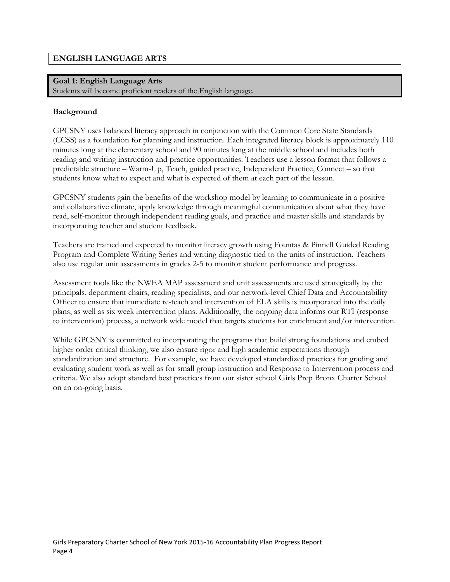# **ENGLISH LANGUAGE ARTS**

## **Goal 1: English Language Arts**

Students will become proficient readers of the English language.

## **Background**

GPCSNY uses balanced literacy approach in conjunction with the Common Core State Standards (CCSS) as a foundation for planning and instruction. Each integrated literacy block is approximately 110 minutes long at the elementary school and 90 minutes long at the middle school and includes both reading and writing instruction and practice opportunities. Teachers use a lesson format that follows a predictable structure – Warm-Up, Teach, guided practice, Independent Practice, Connect – so that students know what to expect and what is expected of them at each part of the lesson.

GPCSNY students gain the benefits of the workshop model by learning to communicate in a positive and collaborative climate, apply knowledge through meaningful communication about what they have read, self-monitor through independent reading goals, and practice and master skills and standards by incorporating teacher and student feedback.

Teachers are trained and expected to monitor literacy growth using Fountas & Pinnell Guided Reading Program and Complete Writing Series and writing diagnostic tied to the units of instruction. Teachers also use regular unit assessments in grades 2-5 to monitor student performance and progress.

Assessment tools like the NWEA MAP assessment and unit assessments are used strategically by the principals, department chairs, reading specialists, and our network-level Chief Data and Accountability Officer to ensure that immediate re-teach and intervention of ELA skills is incorporated into the daily plans, as well as six week intervention plans. Additionally, the ongoing data informs our RTI (response to intervention) process, a network wide model that targets students for enrichment and/or intervention.

While GPCSNY is committed to incorporating the programs that build strong foundations and embed higher order critical thinking, we also ensure rigor and high academic expectations through standardization and structure. For example, we have developed standardized practices for grading and evaluating student work as well as for small group instruction and Response to Intervention process and criteria. We also adopt standard best practices from our sister school Girls Prep Bronx Charter School on an on-going basis.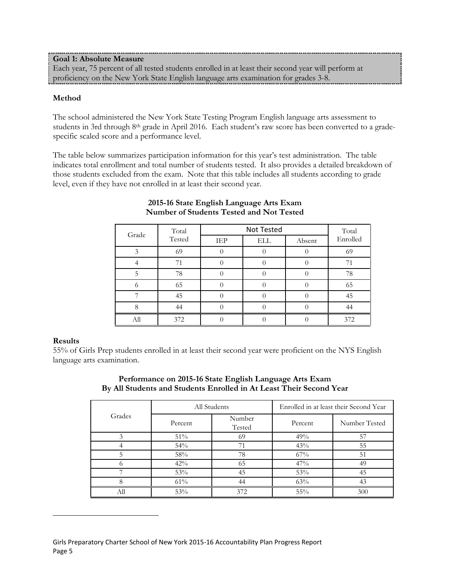**Goal 1: Absolute Measure** Each year, 75 percent of all tested students enrolled in at least their second year will perform at proficiency on the New York State English language arts examination for grades 3-8.

## **Method**

The school administered the New York State Testing Program English language arts assessment to students in 3rd through 8th grade in April 2016. Each student's raw score has been converted to a gradespecific scaled score and a performance level.

The table below summarizes participation information for this year's test administration. The table indicates total enrollment and total number of students tested. It also provides a detailed breakdown of those students excluded from the exam. Note that this table includes all students according to grade level, even if they have not enrolled in at least their second year.

| Grade | Total  |     | <b>Not Tested</b> | Total  |          |
|-------|--------|-----|-------------------|--------|----------|
|       | Tested | IEP | ELL               | Absent | Enrolled |
| 3     | 69     |     |                   |        | 69       |
|       | 71     |     |                   |        |          |
|       | 78     |     |                   |        | 78       |
|       | 65     |     |                   |        | 65       |
|       | 45     |     |                   |        | 45       |
| 8     | 44     |     |                   |        | 44       |
| All   | 372    |     |                   |        | 372      |

## **2015-16 State English Language Arts Exam Number of Students Tested and Not Tested**

#### **Results**

55% of Girls Prep students enrolled in at least their second year were proficient on the NYS English language arts examination.

|        |         | All Students     | Enrolled in at least their Second Year |               |  |
|--------|---------|------------------|----------------------------------------|---------------|--|
| Grades | Percent | Number<br>Tested | Percent                                | Number Tested |  |
|        | 51%     | 69               | 49%                                    | 57            |  |
|        | 54%     | 71               | 43%                                    | 55            |  |
|        | 58%     | 78               | $67\%$                                 | 51            |  |
|        | 42%     | 65               | 47%                                    | 49            |  |
|        | 53%     | 45               | 53%                                    | 45            |  |
| 8      | $61\%$  | 44               | 63%                                    | 43            |  |
| All    | 53%     | 372              | 55%                                    | 300           |  |

# **Performance on 2015-16 State English Language Arts Exam By All Students and Students Enrolled in At Least Their Second Year**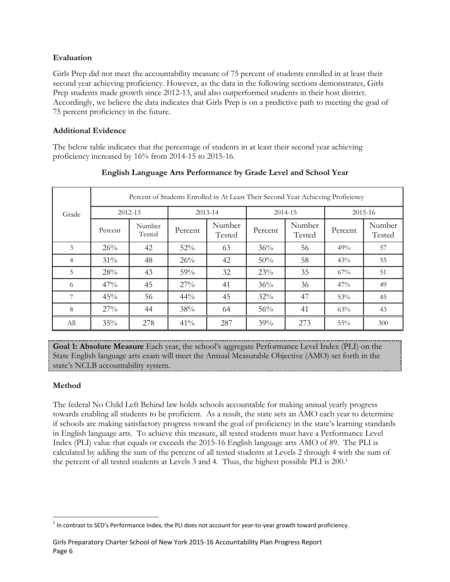## **Evaluation**

Girls Prep did not meet the accountability measure of 75 percent of students enrolled in at least their second year achieving proficiency. However, as the data in the following sections demonstrates, Girls Prep students made growth since 2012-13, and also outperformed students in their host district. Accordingly, we believe the data indicates that Girls Prep is on a predictive path to meeting the goal of 75 percent proficiency in the future.

## **Additional Evidence**

The below table indicates that the percentage of students in at least their second year achieving proficiency increased by 16% from 2014-15 to 2015-16.

|       |         | Percent of Students Enrolled in At Least Their Second Year Achieving Proficiency |         |                  |         |                  |         |                  |  |  |  |  |
|-------|---------|----------------------------------------------------------------------------------|---------|------------------|---------|------------------|---------|------------------|--|--|--|--|
| Grade | 2012-13 |                                                                                  |         | 2013-14          |         | 2014-15          |         | 2015-16          |  |  |  |  |
|       | Percent | Number<br>Tested                                                                 | Percent | Number<br>Tested | Percent | Number<br>Tested | Percent | Number<br>Tested |  |  |  |  |
| 3     | 26%     | 42                                                                               | 52%     | 63               | 36%     | 56               | 49%     | 57               |  |  |  |  |
| 4     | 31%     | 48                                                                               | 26%     | 42               | 50%     | 58               | 43%     | 55               |  |  |  |  |
| 5     | 28%     | 43                                                                               | 59%     | 32               | 23%     | 35               | 67%     | 51               |  |  |  |  |
| 6     | 47%     | 45                                                                               | 27%     | 41               | 36%     | 36               | 47%     | 49               |  |  |  |  |
| 7     | 45%     | 56                                                                               | 44%     | 45               | 32%     | 47               | 53%     | 45               |  |  |  |  |
| 8     | 27%     | 44                                                                               | 38%     | 64               | 56%     | 41               | 63%     | 43               |  |  |  |  |
| All   | 35%     | 278                                                                              | 41%     | 287              | 39%     | 273              | 55%     | 300              |  |  |  |  |

# **English Language Arts Performance by Grade Level and School Year**

**Goal 1: Absolute Measure** Each year, the school's aggregate Performance Level Index (PLI) on the State English language arts exam will meet the Annual Measurable Objective (AMO) set forth in the state's NCLB accountability system.

# **Method**

The federal No Child Left Behind law holds schools accountable for making annual yearly progress towards enabling all students to be proficient. As a result, the state sets an AMO each year to determine if schools are making satisfactory progress toward the goal of proficiency in the state's learning standards in English language arts. To achieve this measure, all tested students must have a Performance Level Index (PLI) value that equals or exceeds the 2015-16 English language arts AMO of 89. The PLI is calculated by adding the sum of the percent of all tested students at Levels 2 through 4 with the sum of the percent of all tested students at Levels 3 and 4. Thus, the highest possible PLI is 200.<sup>1</sup>

  $^1$  In contrast to SED's Performance Index, the PLI does not account for year-to-year growth toward proficiency.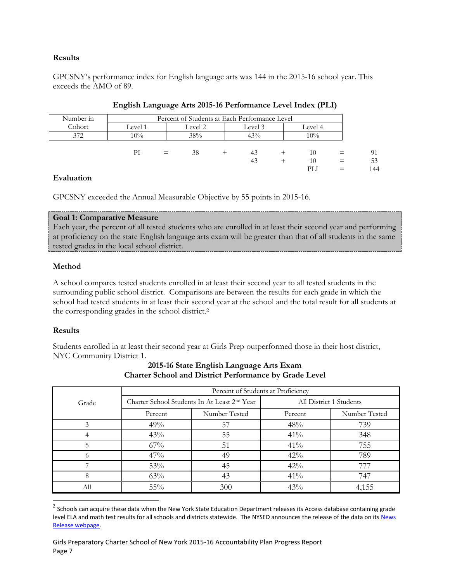#### **Results**

GPCSNY's performance index for English language arts was 144 in the 2015-16 school year. This exceeds the AMO of 89.

| Number in |         | Percent of Students at Each Performance Level |     |  |     |  |     |          |     |  |  |
|-----------|---------|-----------------------------------------------|-----|--|-----|--|-----|----------|-----|--|--|
| Cohort    | Level 1 | Level 2<br>Level 3<br>Level 4                 |     |  |     |  |     |          |     |  |  |
| 372       | $10\%$  |                                               | 38% |  | 43% |  | 10% |          |     |  |  |
|           |         |                                               |     |  |     |  |     |          |     |  |  |
|           | PI      | $=$                                           | 38  |  | 43  |  | 10  | $=$      | 91  |  |  |
|           |         |                                               |     |  | 43  |  | 10  | $\equiv$ | 53  |  |  |
|           |         |                                               |     |  |     |  | PЫ  | $=$      | 144 |  |  |

|  |  | English Language Arts 2015-16 Performance Level Index (PLI) |  |  |
|--|--|-------------------------------------------------------------|--|--|
|  |  |                                                             |  |  |

#### **Evaluation**

GPCSNY exceeded the Annual Measurable Objective by 55 points in 2015-16.

#### **Goal 1: Comparative Measure**

Each year, the percent of all tested students who are enrolled in at least their second year and performing at proficiency on the state English language arts exam will be greater than that of all students in the same tested grades in the local school district.

## **Method**

A school compares tested students enrolled in at least their second year to all tested students in the surrounding public school district. Comparisons are between the results for each grade in which the school had tested students in at least their second year at the school and the total result for all students at the corresponding grades in the school district. 2

#### **Results**

l

Students enrolled in at least their second year at Girls Prep outperformed those in their host district, NYC Community District 1.

|       |         | Percent of Students at Proficiency                       |                         |               |  |  |
|-------|---------|----------------------------------------------------------|-------------------------|---------------|--|--|
| Grade |         | Charter School Students In At Least 2 <sup>nd</sup> Year | All District 1 Students |               |  |  |
|       | Percent | Number Tested                                            | Percent                 | Number Tested |  |  |
|       | 49%     | 57                                                       | 48%                     | 739           |  |  |
|       | 43%     | 55                                                       | 41%                     | 348           |  |  |
| 5     | 67%     | 51                                                       | 41%                     | 755           |  |  |
|       | 47%     | 49                                                       | 42%                     | 789           |  |  |
|       | 53%     | 45                                                       | 42%                     |               |  |  |
|       | 63%     | 43                                                       | 41%                     | 747           |  |  |
| All   | 55%     | 300                                                      | 43%                     | 4,155         |  |  |

#### **2015-16 State English Language Arts Exam Charter School and District Performance by Grade Level**

 $^2$  Schools can acquire these data when the New York State Education Department releases its Access database containing grade level ELA and math test results for all schools and districts statewide. The NYSED announces the release of the data on its News [Release webpage.](http://www.oms.nysed.gov/press/)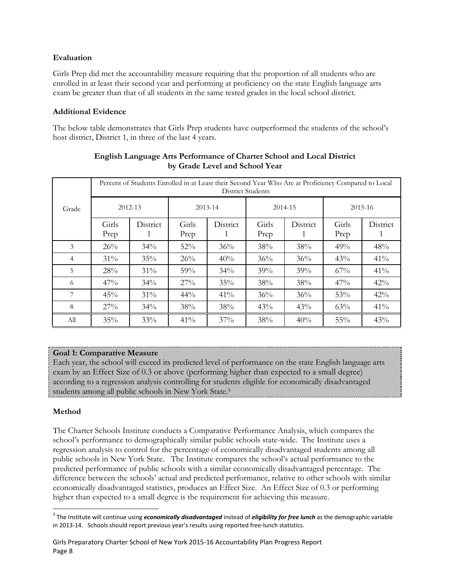# **Evaluation**

Girls Prep did met the accountability measure requiring that the proportion of all students who are enrolled in at least their second year and performing at proficiency on the state English language arts exam be greater than that of all students in the same tested grades in the local school district.

## **Additional Evidence**

The below table demonstrates that Girls Prep students have outperformed the students of the school's host district, District 1, in three of the last 4 years.

|       |               | Percent of Students Enrolled in at Least their Second Year Who Are at Proficiency Compared to Local<br>District Students |               |          |               |          |               |          |  |  |  |  |
|-------|---------------|--------------------------------------------------------------------------------------------------------------------------|---------------|----------|---------------|----------|---------------|----------|--|--|--|--|
| Grade | $2012 - 13$   |                                                                                                                          | 2013-14       |          | 2014-15       |          | 2015-16       |          |  |  |  |  |
|       | Girls<br>Prep | District                                                                                                                 | Girls<br>Prep | District | Girls<br>Prep | District | Girls<br>Prep | District |  |  |  |  |
| 3     | 26%           | 34%                                                                                                                      | 52%           | 36%      | 38%           | 38%      | 49%           | 48%      |  |  |  |  |
| 4     | 31%           | 35%                                                                                                                      | 26%           | 40%      | 36%           | 36%      | 43%           | 41%      |  |  |  |  |
| 5     | 28%           | 31%                                                                                                                      | 59%           | 34%      | 39%           | 39%      | 67%           | 41%      |  |  |  |  |
| 6     | 47%           | 34%                                                                                                                      | 27%           | 35%      | 38%           | 38%      | 47%           | 42%      |  |  |  |  |
| 7     | 45%           | 31%                                                                                                                      | $44\%$        | $41\%$   | 36%           | 36%      | 53%           | 42%      |  |  |  |  |
| 8     | 27%           | 34%                                                                                                                      | 38%           | 38%      | 43%           | 43%      | 63%           | 41%      |  |  |  |  |
| All   | 35%           | 33%                                                                                                                      | $41\%$        | 37%      | 38%           | 40%      | 55%           | 43%      |  |  |  |  |

## **English Language Arts Performance of Charter School and Local District by Grade Level and School Year**

# **Goal 1: Comparative Measure**

Each year, the school will exceed its predicted level of performance on the state English language arts exam by an Effect Size of 0.3 or above (performing higher than expected to a small degree) according to a regression analysis controlling for students eligible for economically disadvantaged students among all public schools in New York State.<sup>3</sup>

# **Method**

The Charter Schools Institute conducts a Comparative Performance Analysis, which compares the school's performance to demographically similar public schools state-wide. The Institute uses a regression analysis to control for the percentage of economically disadvantaged students among all public schools in New York State. The Institute compares the school's actual performance to the predicted performance of public schools with a similar economically disadvantaged percentage. The difference between the schools' actual and predicted performance, relative to other schools with similar economically disadvantaged statistics, produces an Effect Size. An Effect Size of 0.3 or performing higher than expected to a small degree is the requirement for achieving this measure.

<sup>3</sup> The Institute will continue using *economically disadvantaged* instead of *eligibility for free lunch* as the demographic variable in 2013-14. Schools should report previous year's results using reported free-lunch statistics.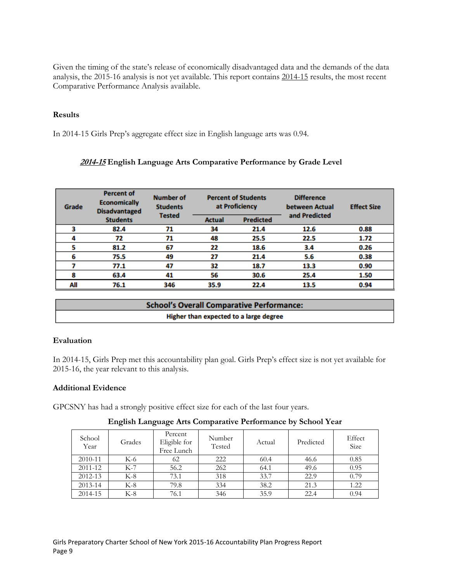Given the timing of the state's release of economically disadvantaged data and the demands of the data analysis, the 2015-16 analysis is not yet available. This report contains 2014-15 results, the most recent Comparative Performance Analysis available.

## **Results**

In 2014-15 Girls Prep's aggregate effect size in English language arts was 0.94.

# **2014-15 English Language Arts Comparative Performance by Grade Level**

| Grade | <b>Percent of</b><br><b>Economically</b><br><b>Disadvantaged</b> | <b>Number of</b><br><b>Students</b> |                                   | <b>Percent of Students</b><br>at Proficiency | <b>Difference</b><br>between Actual | <b>Effect Size</b> |
|-------|------------------------------------------------------------------|-------------------------------------|-----------------------------------|----------------------------------------------|-------------------------------------|--------------------|
|       | <b>Students</b>                                                  | <b>Tested</b>                       | <b>Predicted</b><br><b>Actual</b> |                                              | and Predicted                       |                    |
|       | 82.4                                                             | 71                                  | 34                                | 21.4                                         | 12.6                                | 0.88               |
|       | 72                                                               | 71                                  | 48                                | 25.5                                         | 22.5                                | 1.72               |
|       | 81.2                                                             | 67                                  | 22                                | 18.6                                         | 3.4                                 | 0.26               |
| 6     | 75.5                                                             | 49                                  | 27                                | 21.4                                         | 5.6                                 | 0.38               |
|       | 77.1                                                             | 47                                  | 32                                | 18.7                                         | 13.3                                | 0.90               |
| 8     | 63.4                                                             | 41                                  | 56                                | 30.6                                         | 25.4                                | 1.50               |
| All   | 76.1                                                             | 346                                 | 35.9                              | 22.4                                         | 13.5                                | 0.94               |

| <b>School's Overall Comparative Performance:</b> |
|--------------------------------------------------|
| Higher than expected to a large degree           |

#### **Evaluation**

In 2014-15, Girls Prep met this accountability plan goal. Girls Prep's effect size is not yet available for 2015-16, the year relevant to this analysis.

#### **Additional Evidence**

GPCSNY has had a strongly positive effect size for each of the last four years.

| School<br>Year | Grades | Percent<br>Eligible for<br>Free Lunch | Number<br>Tested | Actual | Predicted | Effect<br>Size |
|----------------|--------|---------------------------------------|------------------|--------|-----------|----------------|
| 2010-11        | K-6    | 62                                    | 222              | 60.4   | 46.6      | 0.85           |
| 2011-12        | $K-7$  | 56.2                                  | 262              | 64.1   | 49.6      | 0.95           |
| 2012-13        | $K-8$  | 73.1                                  | 318              | 33.7   | 22.9      | 0.79           |
| 2013-14        | $K-8$  | 79.8                                  | 334              | 38.2   | 21.3      | 1.22           |
| 2014-15        | $K-8$  | 76.1                                  | 346              | 35.9   | 22.4      | 0.94           |

# **English Language Arts Comparative Performance by School Year**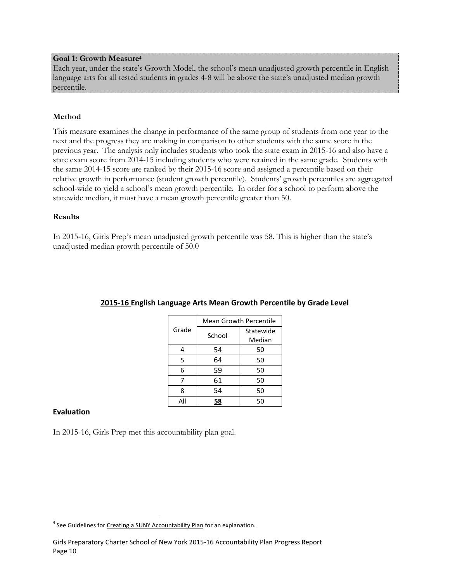#### **Goal 1: Growth Measure<sup>4</sup>**

Each year, under the state's Growth Model, the school's mean unadjusted growth percentile in English language arts for all tested students in grades 4-8 will be above the state's unadjusted median growth percentile.

## **Method**

This measure examines the change in performance of the same group of students from one year to the next and the progress they are making in comparison to other students with the same score in the previous year. The analysis only includes students who took the state exam in 2015-16 and also have a state exam score from 2014-15 including students who were retained in the same grade. Students with the same 2014-15 score are ranked by their 2015-16 score and assigned a percentile based on their relative growth in performance (student growth percentile). Students' growth percentiles are aggregated school-wide to yield a school's mean growth percentile. In order for a school to perform above the statewide median, it must have a mean growth percentile greater than 50.

#### **Results**

In 2015-16, Girls Prep's mean unadjusted growth percentile was 58. This is higher than the state's unadjusted median growth percentile of 50.0

|       | <b>Mean Growth Percentile</b> |           |  |  |  |
|-------|-------------------------------|-----------|--|--|--|
| Grade | School                        | Statewide |  |  |  |
|       |                               | Median    |  |  |  |
| 4     | 54                            | 50        |  |  |  |
| 5     | 64                            | 50        |  |  |  |
| 6     | 59                            | 50        |  |  |  |
| 7     | 61                            | 50        |  |  |  |
| 8     | 54                            | 50        |  |  |  |
|       |                               | 50        |  |  |  |

## **2015-16 English Language Arts Mean Growth Percentile by Grade Level**

#### **Evaluation**

In 2015-16, Girls Prep met this accountability plan goal.

<sup>&</sup>lt;sup>4</sup> See Guidelines fo[r Creating a SUNY Accountability Plan](http://www.newyorkcharters.org/operate/first-year-schools/accountability-plan/) for an explanation.

Girls Preparatory Charter School of New York 2015-16 Accountability Plan Progress Report Page 10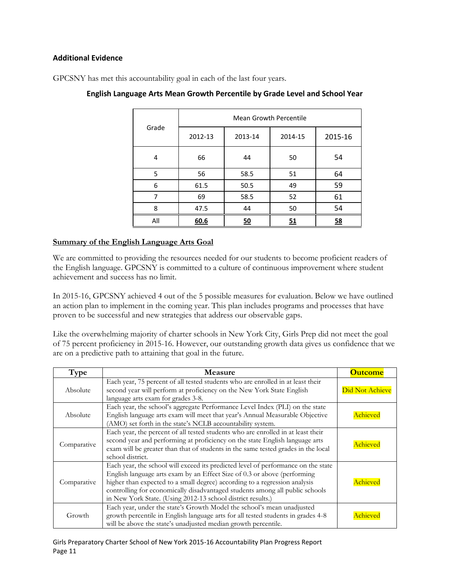# **Additional Evidence**

GPCSNY has met this accountability goal in each of the last four years.

|       | <b>Mean Growth Percentile</b> |         |         |         |  |  |  |  |
|-------|-------------------------------|---------|---------|---------|--|--|--|--|
| Grade | 2012-13                       | 2013-14 | 2014-15 | 2015-16 |  |  |  |  |
| 4     | 66                            | 44      | 50      | 54      |  |  |  |  |
| 5     | 56                            | 58.5    | 51      | 64      |  |  |  |  |
| 6     | 61.5                          | 50.5    | 49      | 59      |  |  |  |  |
| 7     | 69                            | 58.5    | 52      | 61      |  |  |  |  |
| 8     | 47.5                          | 44      | 50      | 54      |  |  |  |  |
| All   | 60.6                          | 50      | 51      | 58      |  |  |  |  |

# **English Language Arts Mean Growth Percentile by Grade Level and School Year**

# **Summary of the English Language Arts Goal**

We are committed to providing the resources needed for our students to become proficient readers of the English language. GPCSNY is committed to a culture of continuous improvement where student achievement and success has no limit.

In 2015-16, GPCSNY achieved 4 out of the 5 possible measures for evaluation. Below we have outlined an action plan to implement in the coming year. This plan includes programs and processes that have proven to be successful and new strategies that address our observable gaps.

Like the overwhelming majority of charter schools in New York City, Girls Prep did not meet the goal of 75 percent proficiency in 2015-16. However, our outstanding growth data gives us confidence that we are on a predictive path to attaining that goal in the future.

| Type        | <b>Measure</b>                                                                                                                                                                                                                                                                                                                                                                             | <b>Outcome</b>  |  |  |  |  |
|-------------|--------------------------------------------------------------------------------------------------------------------------------------------------------------------------------------------------------------------------------------------------------------------------------------------------------------------------------------------------------------------------------------------|-----------------|--|--|--|--|
| Absolute    | Each year, 75 percent of all tested students who are enrolled in at least their<br>second year will perform at proficiency on the New York State English<br>language arts exam for grades 3-8.                                                                                                                                                                                             | Did Not Achieve |  |  |  |  |
| Absolute    | Each year, the school's aggregate Performance Level Index (PLI) on the state<br>English language arts exam will meet that year's Annual Measurable Objective<br>(AMO) set forth in the state's NCLB accountability system.                                                                                                                                                                 | Achieved        |  |  |  |  |
| Comparative | Each year, the percent of all tested students who are enrolled in at least their<br>second year and performing at proficiency on the state English language arts<br>exam will be greater than that of students in the same tested grades in the local<br>school district.                                                                                                                  |                 |  |  |  |  |
| Comparative | Each year, the school will exceed its predicted level of performance on the state<br>English language arts exam by an Effect Size of 0.3 or above (performing<br>higher than expected to a small degree) according to a regression analysis<br>controlling for economically disadvantaged students among all public schools<br>in New York State. (Using 2012-13 school district results.) | Achieved        |  |  |  |  |
| Growth      | Each year, under the state's Growth Model the school's mean unadjusted<br>growth percentile in English language arts for all tested students in grades 4-8<br>will be above the state's unadjusted median growth percentile.                                                                                                                                                               | Achieved        |  |  |  |  |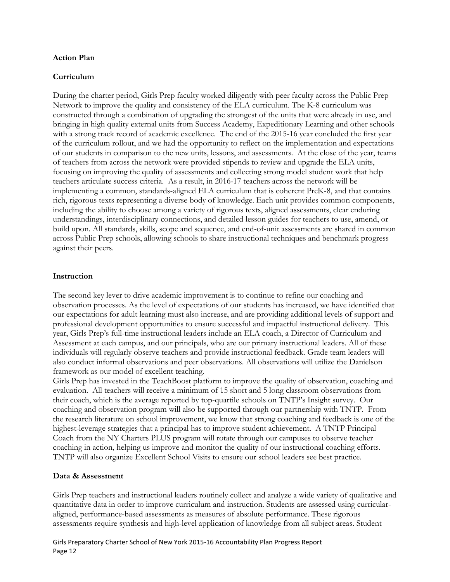#### **Action Plan**

#### **Curriculum**

During the charter period, Girls Prep faculty worked diligently with peer faculty across the Public Prep Network to improve the quality and consistency of the ELA curriculum. The K-8 curriculum was constructed through a combination of upgrading the strongest of the units that were already in use, and bringing in high quality external units from Success Academy, Expeditionary Learning and other schools with a strong track record of academic excellence. The end of the 2015-16 year concluded the first year of the curriculum rollout, and we had the opportunity to reflect on the implementation and expectations of our students in comparison to the new units, lessons, and assessments. At the close of the year, teams of teachers from across the network were provided stipends to review and upgrade the ELA units, focusing on improving the quality of assessments and collecting strong model student work that help teachers articulate success criteria. As a result, in 2016-17 teachers across the network will be implementing a common, standards-aligned ELA curriculum that is coherent PreK-8, and that contains rich, rigorous texts representing a diverse body of knowledge. Each unit provides common components, including the ability to choose among a variety of rigorous texts, aligned assessments, clear enduring understandings, interdisciplinary connections, and detailed lesson guides for teachers to use, amend, or build upon. All standards, skills, scope and sequence, and end-of-unit assessments are shared in common across Public Prep schools, allowing schools to share instructional techniques and benchmark progress against their peers.

#### **Instruction**

The second key lever to drive academic improvement is to continue to refine our coaching and observation processes. As the level of expectations of our students has increased, we have identified that our expectations for adult learning must also increase, and are providing additional levels of support and professional development opportunities to ensure successful and impactful instructional delivery. This year, Girls Prep's full-time instructional leaders include an ELA coach, a Director of Curriculum and Assessment at each campus, and our principals, who are our primary instructional leaders. All of these individuals will regularly observe teachers and provide instructional feedback. Grade team leaders will also conduct informal observations and peer observations. All observations will utilize the Danielson framework as our model of excellent teaching.

Girls Prep has invested in the TeachBoost platform to improve the quality of observation, coaching and evaluation. All teachers will receive a minimum of 15 short and 5 long classroom observations from their coach, which is the average reported by top-quartile schools on TNTP's Insight survey. Our coaching and observation program will also be supported through our partnership with TNTP. From the research literature on school improvement, we know that strong coaching and feedback is one of the highest-leverage strategies that a principal has to improve student achievement. A TNTP Principal Coach from the NY Charters PLUS program will rotate through our campuses to observe teacher coaching in action, helping us improve and monitor the quality of our instructional coaching efforts. TNTP will also organize Excellent School Visits to ensure our school leaders see best practice.

#### **Data & Assessment**

Girls Prep teachers and instructional leaders routinely collect and analyze a wide variety of qualitative and quantitative data in order to improve curriculum and instruction. Students are assessed using curricularaligned, performance-based assessments as measures of absolute performance. These rigorous assessments require synthesis and high-level application of knowledge from all subject areas. Student

Girls Preparatory Charter School of New York 2015-16 Accountability Plan Progress Report Page 12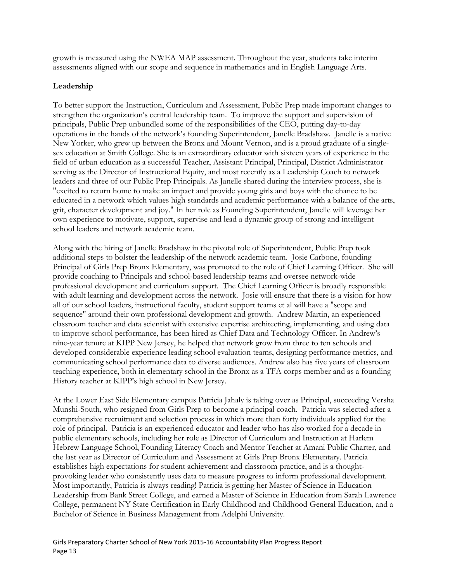growth is measured using the NWEA MAP assessment. Throughout the year, students take interim assessments aligned with our scope and sequence in mathematics and in English Language Arts.

# **Leadership**

To better support the Instruction, Curriculum and Assessment, Public Prep made important changes to strengthen the organization's central leadership team. To improve the support and supervision of principals, Public Prep unbundled some of the responsibilities of the CEO, putting day-to-day operations in the hands of the network's founding Superintendent, Janelle Bradshaw. Janelle is a native New Yorker, who grew up between the Bronx and Mount Vernon, and is a proud graduate of a singlesex education at Smith College. She is an extraordinary educator with sixteen years of experience in the field of urban education as a successful Teacher, Assistant Principal, Principal, District Administrator serving as the Director of Instructional Equity, and most recently as a Leadership Coach to network leaders and three of our Public Prep Principals. As Janelle shared during the interview process, she is "excited to return home to make an impact and provide young girls and boys with the chance to be educated in a network which values high standards and academic performance with a balance of the arts, grit, character development and joy." In her role as Founding Superintendent, Janelle will leverage her own experience to motivate, support, supervise and lead a dynamic group of strong and intelligent school leaders and network academic team.

Along with the hiring of Janelle Bradshaw in the pivotal role of Superintendent, Public Prep took additional steps to bolster the leadership of the network academic team. Josie Carbone, founding Principal of Girls Prep Bronx Elementary, was promoted to the role of Chief Learning Officer. She will provide coaching to Principals and school-based leadership teams and oversee network-wide professional development and curriculum support. The Chief Learning Officer is broadly responsible with adult learning and development across the network. Josie will ensure that there is a vision for how all of our school leaders, instructional faculty, student support teams et al will have a "scope and sequence" around their own professional development and growth. Andrew Martin, an experienced classroom teacher and data scientist with extensive expertise architecting, implementing, and using data to improve school performance, has been hired as Chief Data and Technology Officer. In Andrew's nine-year tenure at KIPP New Jersey, he helped that network grow from three to ten schools and developed considerable experience leading school evaluation teams, designing performance metrics, and communicating school performance data to diverse audiences. Andrew also has five years of classroom teaching experience, both in elementary school in the Bronx as a TFA corps member and as a founding History teacher at KIPP's high school in New Jersey.

At the Lower East Side Elementary campus Patricia Jahaly is taking over as Principal, succeeding Versha Munshi-South, who resigned from Girls Prep to become a principal coach. Patricia was selected after a comprehensive recruitment and selection process in which more than forty individuals applied for the role of principal. Patricia is an experienced educator and leader who has also worked for a decade in public elementary schools, including her role as Director of Curriculum and Instruction at Harlem Hebrew Language School, Founding Literacy Coach and Mentor Teacher at Amani Public Charter, and the last year as Director of Curriculum and Assessment at Girls Prep Bronx Elementary. Patricia establishes high expectations for student achievement and classroom practice, and is a thoughtprovoking leader who consistently uses data to measure progress to inform professional development. Most importantly, Patricia is always reading! Patricia is getting her Master of Science in Education Leadership from Bank Street College, and earned a Master of Science in Education from Sarah Lawrence College, permanent NY State Certification in Early Childhood and Childhood General Education, and a Bachelor of Science in Business Management from Adelphi University.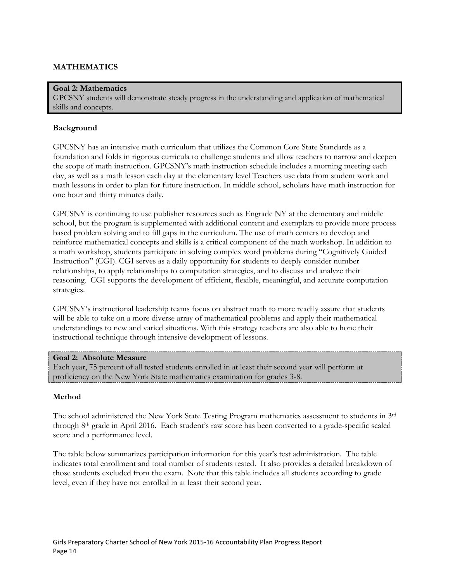# **MATHEMATICS**

#### **Goal 2: Mathematics**

GPCSNY students will demonstrate steady progress in the understanding and application of mathematical skills and concepts.

#### **Background**

GPCSNY has an intensive math curriculum that utilizes the Common Core State Standards as a foundation and folds in rigorous curricula to challenge students and allow teachers to narrow and deepen the scope of math instruction. GPCSNY's math instruction schedule includes a morning meeting each day, as well as a math lesson each day at the elementary level Teachers use data from student work and math lessons in order to plan for future instruction. In middle school, scholars have math instruction for one hour and thirty minutes daily.

GPCSNY is continuing to use publisher resources such as Engrade NY at the elementary and middle school, but the program is supplemented with additional content and exemplars to provide more process based problem solving and to fill gaps in the curriculum. The use of math centers to develop and reinforce mathematical concepts and skills is a critical component of the math workshop. In addition to a math workshop, students participate in solving complex word problems during "Cognitively Guided Instruction" (CGI). CGI serves as a daily opportunity for students to deeply consider number relationships, to apply relationships to computation strategies, and to discuss and analyze their reasoning. CGI supports the development of efficient, flexible, meaningful, and accurate computation strategies.

GPCSNY's instructional leadership teams focus on abstract math to more readily assure that students will be able to take on a more diverse array of mathematical problems and apply their mathematical understandings to new and varied situations. With this strategy teachers are also able to hone their instructional technique through intensive development of lessons.

#### **Goal 2: Absolute Measure**

Each year, 75 percent of all tested students enrolled in at least their second year will perform at proficiency on the New York State mathematics examination for grades 3-8.

#### **Method**

The school administered the New York State Testing Program mathematics assessment to students in 3rd through 8th grade in April 2016. Each student's raw score has been converted to a grade-specific scaled score and a performance level.

The table below summarizes participation information for this year's test administration. The table indicates total enrollment and total number of students tested. It also provides a detailed breakdown of those students excluded from the exam. Note that this table includes all students according to grade level, even if they have not enrolled in at least their second year.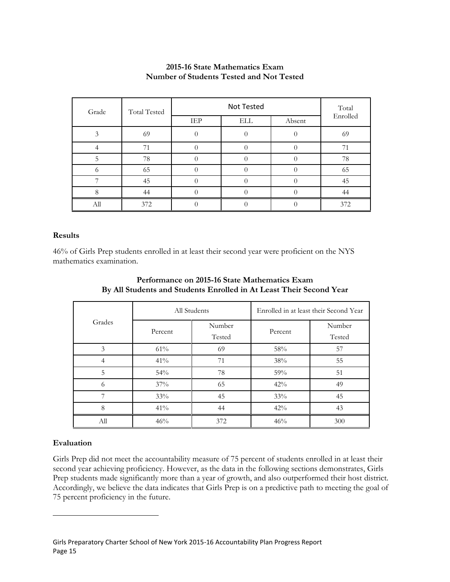# **2015-16 State Mathematics Exam Number of Students Tested and Not Tested**

| Grade | <b>Total Tested</b> |     | Total |        |          |
|-------|---------------------|-----|-------|--------|----------|
|       |                     | IEP | ELL   | Absent | Enrolled |
| 3     | 69                  |     |       | 0      | 69       |
| 4     | 71                  |     |       | 0      | 71       |
| 5     | 78                  |     |       |        | 78       |
| 6     | 65                  |     |       | 0      | 65       |
| ⇁     | 45                  |     |       | 0      | 45       |
| 8     | 44                  |     |       |        | 44       |
| All   | 372                 |     |       |        | 372      |

## **Results**

46% of Girls Prep students enrolled in at least their second year were proficient on the NYS mathematics examination.

|        |         | All Students     | Enrolled in at least their Second Year |                  |  |
|--------|---------|------------------|----------------------------------------|------------------|--|
| Grades | Percent | Number<br>Tested | Percent                                | Number<br>Tested |  |
| 3      | 61%     | 69               | 58%                                    | 57               |  |
| 4      | 41%     | 71               | 38%                                    | 55               |  |
| 5      | 54%     | 78               | 59%                                    | 51               |  |
| 6      | 37%     | 65               | 42%                                    | 49               |  |
| 7      | 33%     | 45               | 33%                                    | 45               |  |
| 8      | 41%     | 44               | 42%                                    | 43               |  |
| All    | 46%     | 372              | 46%                                    | 300              |  |

# **Performance on 2015-16 State Mathematics Exam By All Students and Students Enrolled in At Least Their Second Year**

# **Evaluation**

Girls Prep did not meet the accountability measure of 75 percent of students enrolled in at least their second year achieving proficiency. However, as the data in the following sections demonstrates, Girls Prep students made significantly more than a year of growth, and also outperformed their host district. Accordingly, we believe the data indicates that Girls Prep is on a predictive path to meeting the goal of 75 percent proficiency in the future.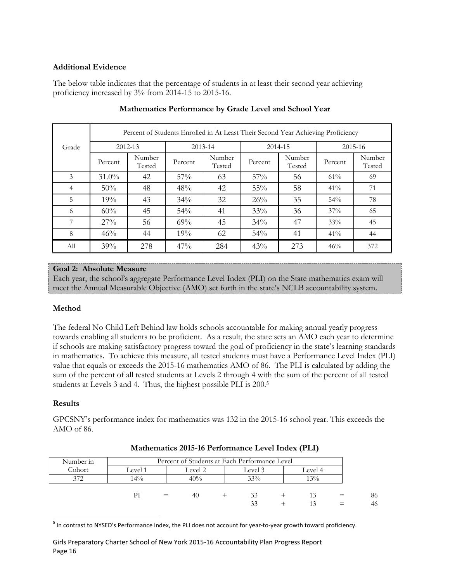## **Additional Evidence**

The below table indicates that the percentage of students in at least their second year achieving proficiency increased by 3% from 2014-15 to 2015-16.

|                |          |                  | Percent of Students Enrolled in At Least Their Second Year Achieving Proficiency |                  |         |                  |         |                  |
|----------------|----------|------------------|----------------------------------------------------------------------------------|------------------|---------|------------------|---------|------------------|
| Grade          |          | $2012 - 13$      | $2013 - 14$                                                                      |                  | 2014-15 |                  | 2015-16 |                  |
|                | Percent  | Number<br>Tested | Percent                                                                          | Number<br>Tested | Percent | Number<br>Tested | Percent | Number<br>Tested |
| 3              | $31.0\%$ | 42               | 57%                                                                              | 63               | 57%     | 56               | 61%     | 69               |
| $\overline{4}$ | 50%      | 48               | 48%                                                                              | 42               | 55%     | 58               | 41%     | 71               |
| 5              | 19%      | 43               | 34%                                                                              | 32               | 26%     | 35               | 54%     | 78               |
| 6              | 60%      | 45               | 54%                                                                              | 41               | 33%     | 36               | 37%     | 65               |
| 7              | 27%      | 56               | 69%                                                                              | 45               | 34%     | 47               | 33%     | 45               |
| 8              | 46%      | 44               | 19%                                                                              | 62               | 54%     | 41               | 41%     | 44               |
| All            | 39%      | 278              | 47%                                                                              | 284              | 43%     | 273              | 46%     | 372              |

# **Mathematics Performance by Grade Level and School Year**

# **Goal 2: Absolute Measure**

Each year, the school's aggregate Performance Level Index (PLI) on the State mathematics exam will meet the Annual Measurable Objective (AMO) set forth in the state's NCLB accountability system.

# **Method**

The federal No Child Left Behind law holds schools accountable for making annual yearly progress towards enabling all students to be proficient. As a result, the state sets an AMO each year to determine if schools are making satisfactory progress toward the goal of proficiency in the state's learning standards in mathematics. To achieve this measure, all tested students must have a Performance Level Index (PLI) value that equals or exceeds the 2015-16 mathematics AMO of 86. The PLI is calculated by adding the sum of the percent of all tested students at Levels 2 through 4 with the sum of the percent of all tested students at Levels 3 and 4. Thus, the highest possible PLI is 200.<sup>5</sup>

# **Results**

GPCSNY's performance index for mathematics was 132 in the 2015-16 school year. This exceeds the AMO of 86.

| Number in |                                          |  | Percent of Students at Each Performance Level |  |     |  |     |    |
|-----------|------------------------------------------|--|-----------------------------------------------|--|-----|--|-----|----|
| Cohort    | Level 2<br>Level 3<br>Level 4<br>Level 1 |  |                                               |  |     |  |     |    |
| 372       | 14%                                      |  | 40%                                           |  | 33% |  | 13% |    |
|           | РI                                       |  | 40                                            |  | 33  |  | 13  | 86 |
|           |                                          |  |                                               |  | 33  |  | 13  | 46 |

**Mathematics 2015-16 Performance Level Index (PLI)** 

<sup>&</sup>lt;sup>5</sup> In contrast to NYSED's Performance Index, the PLI does not account for year-to-year growth toward proficiency.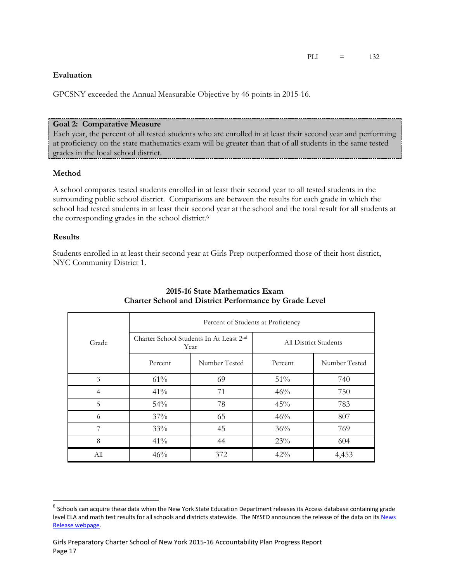#### **Evaluation**

GPCSNY exceeded the Annual Measurable Objective by 46 points in 2015-16.

## **Goal 2: Comparative Measure**

Each year, the percent of all tested students who are enrolled in at least their second year and performing at proficiency on the state mathematics exam will be greater than that of all students in the same tested grades in the local school district.

## **Method**

A school compares tested students enrolled in at least their second year to all tested students in the surrounding public school district. Comparisons are between the results for each grade in which the school had tested students in at least their second year at the school and the total result for all students at the corresponding grades in the school district.<sup>6</sup>

## **Results**

l

Students enrolled in at least their second year at Girls Prep outperformed those of their host district, NYC Community District 1.

|       | Percent of Students at Proficiency                          |               |                              |               |  |  |  |  |
|-------|-------------------------------------------------------------|---------------|------------------------------|---------------|--|--|--|--|
| Grade | Charter School Students In At Least 2 <sup>nd</sup><br>Year |               | <b>All District Students</b> |               |  |  |  |  |
|       | Percent                                                     | Number Tested | Percent                      | Number Tested |  |  |  |  |
| 3     | 61%                                                         | 69            | 51%                          | 740           |  |  |  |  |
| 4     | 41%                                                         | 71            | 46%                          | 750           |  |  |  |  |
| 5     | 54%                                                         | 78            | 45%                          | 783           |  |  |  |  |
| 6     | 37%                                                         | 65            | 46%                          | 807           |  |  |  |  |
| 7     | 33%                                                         | 45            | 36%                          | 769           |  |  |  |  |
| 8     | 41%                                                         | 44            | 23%                          | 604           |  |  |  |  |
| All   | 46%                                                         | 372           | 42%                          | 4,453         |  |  |  |  |

# **2015-16 State Mathematics Exam Charter School and District Performance by Grade Level**

 $^6$  Schools can acquire these data when the New York State Education Department releases its Access database containing grade level ELA and math test results for all schools and districts statewide. The NYSED announces the release of the data on its News [Release webpage.](http://www.oms.nysed.gov/press/)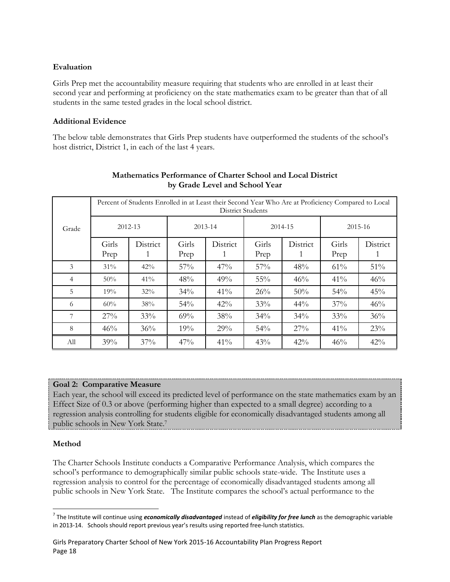# **Evaluation**

Girls Prep met the accountability measure requiring that students who are enrolled in at least their second year and performing at proficiency on the state mathematics exam to be greater than that of all students in the same tested grades in the local school district.

# **Additional Evidence**

The below table demonstrates that Girls Prep students have outperformed the students of the school's host district, District 1, in each of the last 4 years.

|                |               | Percent of Students Enrolled in at Least their Second Year Who Are at Proficiency Compared to Local<br><b>District Students</b> |               |          |               |               |               |          |  |
|----------------|---------------|---------------------------------------------------------------------------------------------------------------------------------|---------------|----------|---------------|---------------|---------------|----------|--|
| Grade          |               | 2012-13                                                                                                                         | 2013-14       |          | 2014-15       |               | 2015-16       |          |  |
|                | Girls<br>Prep | District                                                                                                                        | Girls<br>Prep | District | Girls<br>Prep | District<br>1 | Girls<br>Prep | District |  |
| 3              | $31\%$        | 42%                                                                                                                             | 57%           | 47%      | 57%           | 48%           | 61%           | 51%      |  |
| $\overline{4}$ | 50%           | 41%                                                                                                                             | 48%           | 49%      | 55%           | 46%           | 41%           | 46%      |  |
| 5              | 19%           | $32\%$                                                                                                                          | 34%           | 41%      | 26%           | 50%           | 54%           | 45%      |  |
| 6              | 60%           | 38%                                                                                                                             | 54%           | 42%      | 33%           | 44%           | 37%           | 46%      |  |
| 7              | 27%           | 33%                                                                                                                             | 69%           | 38%      | 34%           | 34%           | 33%           | 36%      |  |
| 8              | 46%           | 36%                                                                                                                             | 19%           | 29%      | 54%           | 27%           | 41%           | 23%      |  |
| All            | 39%           | 37%                                                                                                                             | 47%           | 41%      | 43%           | 42%           | 46%           | 42%      |  |

# **Mathematics Performance of Charter School and Local District by Grade Level and School Year**

# **Goal 2: Comparative Measure**

Each year, the school will exceed its predicted level of performance on the state mathematics exam by an Effect Size of 0.3 or above (performing higher than expected to a small degree) according to a regression analysis controlling for students eligible for economically disadvantaged students among all public schools in New York State.<sup>7</sup>

# **Method**

The Charter Schools Institute conducts a Comparative Performance Analysis, which compares the school's performance to demographically similar public schools state-wide. The Institute uses a regression analysis to control for the percentage of economically disadvantaged students among all public schools in New York State. The Institute compares the school's actual performance to the

<sup>7</sup> The Institute will continue using *economically disadvantaged* instead of *eligibility for free lunch* as the demographic variable in 2013-14. Schools should report previous year's results using reported free-lunch statistics.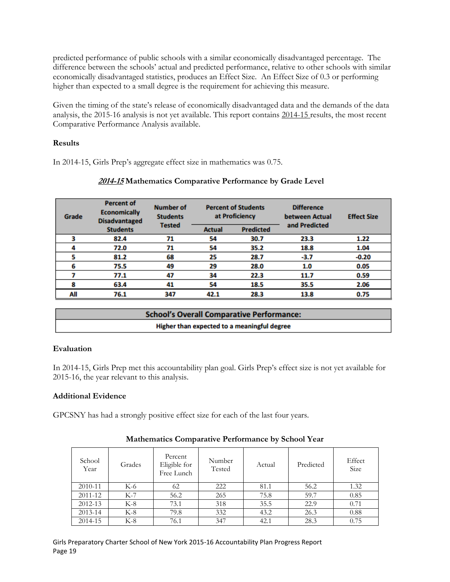predicted performance of public schools with a similar economically disadvantaged percentage. The difference between the schools' actual and predicted performance, relative to other schools with similar economically disadvantaged statistics, produces an Effect Size. An Effect Size of 0.3 or performing higher than expected to a small degree is the requirement for achieving this measure.

Given the timing of the state's release of economically disadvantaged data and the demands of the data analysis, the 2015-16 analysis is not yet available. This report contains 2014-15 results, the most recent Comparative Performance Analysis available.

## **Results**

In 2014-15, Girls Prep's aggregate effect size in mathematics was 0.75.

# **2014-15 Mathematics Comparative Performance by Grade Level**

| Grade | <b>Percent of</b><br><b>Economically</b><br><b>Disadvantaged</b> | <b>Number of</b><br><b>Students</b> |               | <b>Percent of Students</b><br>at Proficiency | <b>Difference</b><br>between Actual | <b>Effect Size</b> |
|-------|------------------------------------------------------------------|-------------------------------------|---------------|----------------------------------------------|-------------------------------------|--------------------|
|       | <b>Students</b>                                                  | <b>Tested</b>                       | <b>Actual</b> | <b>Predicted</b>                             | and Predicted                       |                    |
|       | 82.4                                                             | 71                                  | 54            | 30.7                                         | 23.3                                | 1.22               |
|       | 72.0                                                             | 71                                  | 54            | 35.2                                         | 18.8                                | 1.04               |
|       | 81.2                                                             | 68                                  | 25            | 28.7                                         | $-3.7$                              | $-0.20$            |
| 6     | 75.5                                                             | 49                                  | 29            | 28.0                                         | 1.0                                 | 0.05               |
|       | 77.1                                                             | 47                                  | 34            | 22.3                                         | 11.7                                | 0.59               |
| 8     | 63.4                                                             | 41                                  | 54            | 18.5                                         | 35.5                                | 2.06               |
| All   | 76.1                                                             | 347                                 | 42.1          | 28.3                                         | 13.8                                | 0.75               |

| <b>School's Overall Comparative Performance:</b> |
|--------------------------------------------------|
| Higher than expected to a meaningful degree      |

# **Evaluation**

In 2014-15, Girls Prep met this accountability plan goal. Girls Prep's effect size is not yet available for 2015-16, the year relevant to this analysis.

# **Additional Evidence**

GPCSNY has had a strongly positive effect size for each of the last four years.

| School<br>Year | Grades | Percent<br>Eligible for<br>Free Lunch | Number<br>Tested | Actual | Predicted | Effect<br>Size |
|----------------|--------|---------------------------------------|------------------|--------|-----------|----------------|
| 2010-11        | K-6    | 62                                    | 222              | 81.1   | 56.2      | 1.32           |
| 2011-12        | $K-7$  | 56.2                                  | 265              | 75.8   | 59.7      | 0.85           |
| 2012-13        | $K-8$  | 73.1                                  | 318              | 35.5   | 22.9      | 0.71           |
| 2013-14        | $K-8$  | 79.8                                  | 332              | 43.2   | 26.3      | 0.88           |
| 2014-15        | K-8    | 76.1                                  | 347              | 42.1   | 28.3      | 0.75           |

# **Mathematics Comparative Performance by School Year**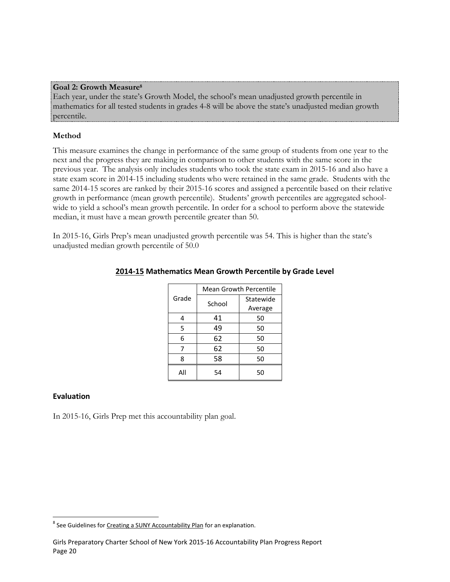#### **Goal 2: Growth Measure<sup>8</sup>**

Each year, under the state's Growth Model, the school's mean unadjusted growth percentile in mathematics for all tested students in grades 4-8 will be above the state's unadjusted median growth percentile.

# **Method**

This measure examines the change in performance of the same group of students from one year to the next and the progress they are making in comparison to other students with the same score in the previous year. The analysis only includes students who took the state exam in 2015-16 and also have a state exam score in 2014-15 including students who were retained in the same grade. Students with the same 2014-15 scores are ranked by their 2015-16 scores and assigned a percentile based on their relative growth in performance (mean growth percentile). Students' growth percentiles are aggregated schoolwide to yield a school's mean growth percentile. In order for a school to perform above the statewide median, it must have a mean growth percentile greater than 50.

In 2015-16, Girls Prep's mean unadjusted growth percentile was 54. This is higher than the state's unadjusted median growth percentile of 50.0

|       |        | <b>Mean Growth Percentile</b> |
|-------|--------|-------------------------------|
| Grade | School | Statewide                     |
|       |        | Average                       |
| 4     | 41     | 50                            |
| 5     | 49     | 50                            |
| 6     | 62     | 50                            |
| 7     | 62     | 50                            |
| 8     | 58     | 50                            |
| All   | 54     | 50                            |

## **2014-15 Mathematics Mean Growth Percentile by Grade Level**

#### **Evaluation**

In 2015-16, Girls Prep met this accountability plan goal.

<sup>&</sup>lt;sup>8</sup> See Guidelines fo[r Creating a SUNY Accountability Plan](http://www.newyorkcharters.org/operate/first-year-schools/accountability-plan/) for an explanation.

Girls Preparatory Charter School of New York 2015-16 Accountability Plan Progress Report Page 20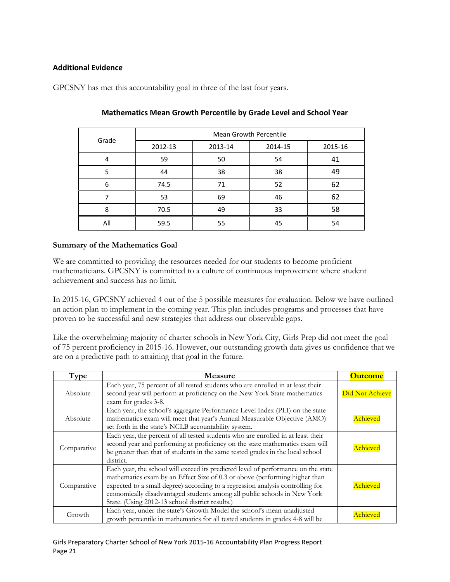# **Additional Evidence**

GPCSNY has met this accountability goal in three of the last four years.

| Grade | <b>Mean Growth Percentile</b> |         |         |         |  |  |  |
|-------|-------------------------------|---------|---------|---------|--|--|--|
|       | 2012-13                       | 2013-14 | 2014-15 | 2015-16 |  |  |  |
| 4     | 59                            | 50      | 54      | 41      |  |  |  |
| 5     | 44                            | 38      | 38      | 49      |  |  |  |
| 6     | 74.5                          | 71      | 52      | 62      |  |  |  |
|       | 53                            | 69      | 46      | 62      |  |  |  |
| 8     | 70.5                          | 49      | 33      | 58      |  |  |  |
| All   | 59.5                          | 55      | 45      | 54      |  |  |  |

# **Mathematics Mean Growth Percentile by Grade Level and School Year**

# **Summary of the Mathematics Goal**

We are committed to providing the resources needed for our students to become proficient mathematicians. GPCSNY is committed to a culture of continuous improvement where student achievement and success has no limit.

In 2015-16, GPCSNY achieved 4 out of the 5 possible measures for evaluation. Below we have outlined an action plan to implement in the coming year. This plan includes programs and processes that have proven to be successful and new strategies that address our observable gaps.

Like the overwhelming majority of charter schools in New York City, Girls Prep did not meet the goal of 75 percent proficiency in 2015-16. However, our outstanding growth data gives us confidence that we are on a predictive path to attaining that goal in the future.

| Type        | Measure                                                                                                                                                                                                                                                                                                                                                                          | <b>Outcome</b>  |
|-------------|----------------------------------------------------------------------------------------------------------------------------------------------------------------------------------------------------------------------------------------------------------------------------------------------------------------------------------------------------------------------------------|-----------------|
| Absolute    | Each year, 75 percent of all tested students who are enrolled in at least their<br>second year will perform at proficiency on the New York State mathematics<br>exam for grades 3-8.                                                                                                                                                                                             | Did Not Achieve |
| Absolute    | Each year, the school's aggregate Performance Level Index (PLI) on the state<br>mathematics exam will meet that year's Annual Measurable Objective (AMO)<br>set forth in the state's NCLB accountability system.                                                                                                                                                                 | Achieved        |
| Comparative | Each year, the percent of all tested students who are enrolled in at least their<br>second year and performing at proficiency on the state mathematics exam will<br>be greater than that of students in the same tested grades in the local school<br>district.                                                                                                                  | Achieved        |
| Comparative | Each year, the school will exceed its predicted level of performance on the state<br>mathematics exam by an Effect Size of 0.3 or above (performing higher than<br>expected to a small degree) according to a regression analysis controlling for<br>economically disadvantaged students among all public schools in New York<br>State. (Using 2012-13 school district results.) | Achieved        |
| Growth      | Each year, under the state's Growth Model the school's mean unadjusted<br>growth percentile in mathematics for all tested students in grades 4-8 will be                                                                                                                                                                                                                         | Achieved        |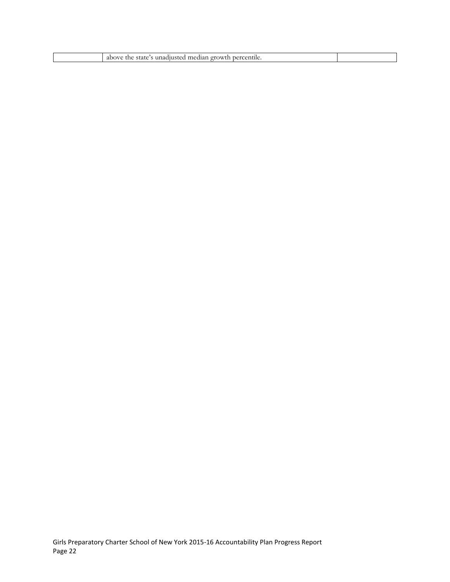| _ _ _ _ _ | $\alpha r$<br>11<br>ገf<br>116ء<br>711 11 t<br>и<br>w<br>12U 11'<br>.<br>∼<br>3141 |  |
|-----------|-----------------------------------------------------------------------------------|--|
|-----------|-----------------------------------------------------------------------------------|--|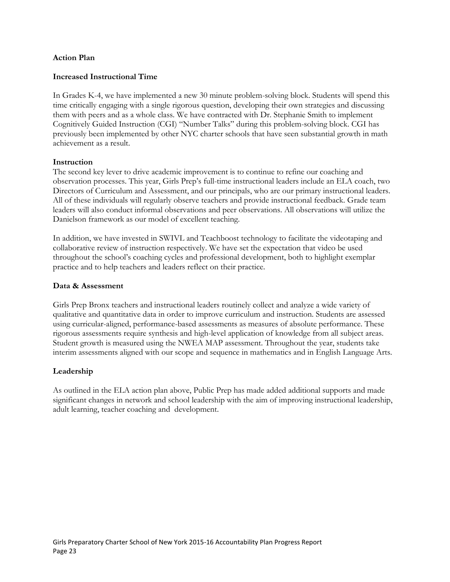## **Action Plan**

## **Increased Instructional Time**

In Grades K-4, we have implemented a new 30 minute problem-solving block. Students will spend this time critically engaging with a single rigorous question, developing their own strategies and discussing them with peers and as a whole class. We have contracted with Dr. Stephanie Smith to implement Cognitively Guided Instruction (CGI) "Number Talks" during this problem-solving block. CGI has previously been implemented by other NYC charter schools that have seen substantial growth in math achievement as a result.

#### **Instruction**

The second key lever to drive academic improvement is to continue to refine our coaching and observation processes. This year, Girls Prep's full-time instructional leaders include an ELA coach, two Directors of Curriculum and Assessment, and our principals, who are our primary instructional leaders. All of these individuals will regularly observe teachers and provide instructional feedback. Grade team leaders will also conduct informal observations and peer observations. All observations will utilize the Danielson framework as our model of excellent teaching.

In addition, we have invested in SWIVL and Teachboost technology to facilitate the videotaping and collaborative review of instruction respectively. We have set the expectation that video be used throughout the school's coaching cycles and professional development, both to highlight exemplar practice and to help teachers and leaders reflect on their practice.

#### **Data & Assessment**

Girls Prep Bronx teachers and instructional leaders routinely collect and analyze a wide variety of qualitative and quantitative data in order to improve curriculum and instruction. Students are assessed using curricular-aligned, performance-based assessments as measures of absolute performance. These rigorous assessments require synthesis and high-level application of knowledge from all subject areas. Student growth is measured using the NWEA MAP assessment. Throughout the year, students take interim assessments aligned with our scope and sequence in mathematics and in English Language Arts.

#### **Leadership**

As outlined in the ELA action plan above, Public Prep has made added additional supports and made significant changes in network and school leadership with the aim of improving instructional leadership, adult learning, teacher coaching and development.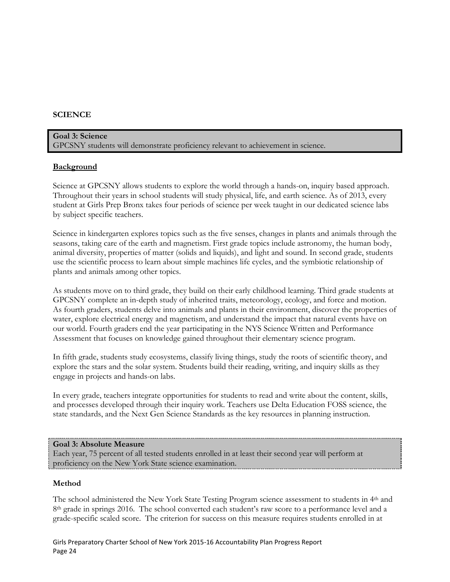## **SCIENCE**

#### **Goal 3: Science** GPCSNY students will demonstrate proficiency relevant to achievement in science.

#### **Background**

Science at GPCSNY allows students to explore the world through a hands-on, inquiry based approach. Throughout their years in school students will study physical, life, and earth science. As of 2013, every student at Girls Prep Bronx takes four periods of science per week taught in our dedicated science labs by subject specific teachers.

Science in kindergarten explores topics such as the five senses, changes in plants and animals through the seasons, taking care of the earth and magnetism. First grade topics include astronomy, the human body, animal diversity, properties of matter (solids and liquids), and light and sound. In second grade, students use the scientific process to learn about simple machines life cycles, and the symbiotic relationship of plants and animals among other topics.

As students move on to third grade, they build on their early childhood learning. Third grade students at GPCSNY complete an in-depth study of inherited traits, meteorology, ecology, and force and motion. As fourth graders, students delve into animals and plants in their environment, discover the properties of water, explore electrical energy and magnetism, and understand the impact that natural events have on our world. Fourth graders end the year participating in the NYS Science Written and Performance Assessment that focuses on knowledge gained throughout their elementary science program.

In fifth grade, students study ecosystems, classify living things, study the roots of scientific theory, and explore the stars and the solar system. Students build their reading, writing, and inquiry skills as they engage in projects and hands-on labs.

In every grade, teachers integrate opportunities for students to read and write about the content, skills, and processes developed through their inquiry work. Teachers use Delta Education FOSS science, the state standards, and the Next Gen Science Standards as the key resources in planning instruction.

#### **Goal 3: Absolute Measure**

Each year, 75 percent of all tested students enrolled in at least their second year will perform at proficiency on the New York State science examination.

#### **Method**

The school administered the New York State Testing Program science assessment to students in 4<sup>th</sup> and 8<sup>th</sup> grade in springs 2016. The school converted each student's raw score to a performance level and a grade-specific scaled score. The criterion for success on this measure requires students enrolled in at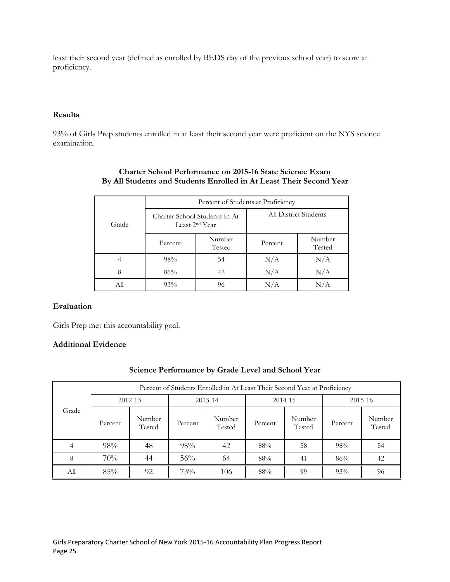least their second year (defined as enrolled by BEDS day of the previous school year) to score at proficiency.

## **Results**

93% of Girls Prep students enrolled in at least their second year were proficient on the NYS science examination.

|       | Percent of Students at Proficiency |                                                             |                              |                  |  |  |
|-------|------------------------------------|-------------------------------------------------------------|------------------------------|------------------|--|--|
| Grade |                                    | Charter School Students In At<br>Least 2 <sup>nd</sup> Year | <b>All District Students</b> |                  |  |  |
|       | Percent                            | Number<br>Tested                                            | Percent                      | Number<br>Tested |  |  |
|       | 98%                                | 54                                                          | N/A                          | N/A              |  |  |
| 8     | 86%                                | 42                                                          | N/A                          | N/A              |  |  |
| All   | 93%                                | 96                                                          | N/A                          | N/A              |  |  |

## **Charter School Performance on 2015-16 State Science Exam By All Students and Students Enrolled in At Least Their Second Year**

#### **Evaluation**

Girls Prep met this accountability goal.

# **Additional Evidence**

|       |         | Percent of Students Enrolled in At Least Their Second Year at Proficiency |             |                  |         |                  |             |                  |
|-------|---------|---------------------------------------------------------------------------|-------------|------------------|---------|------------------|-------------|------------------|
|       | 2012-13 |                                                                           | $2013 - 14$ |                  | 2014-15 |                  | $2015 - 16$ |                  |
| Grade | Percent | Number<br>Tested                                                          | Percent     | Number<br>Tested | Percent | Number<br>Tested | Percent     | Number<br>Tested |
|       | 98%     | 48                                                                        | 98%         | 42               | 88%     | 58               | 98%         | 54               |
| 8     | 70%     | 44                                                                        | 56%         | 64               | 88%     | 41               | 86%         | 42               |
| All   | 85%     | 92                                                                        | 73%         | 106              | 88%     | 99               | 93%         | 96               |

# **Science Performance by Grade Level and School Year**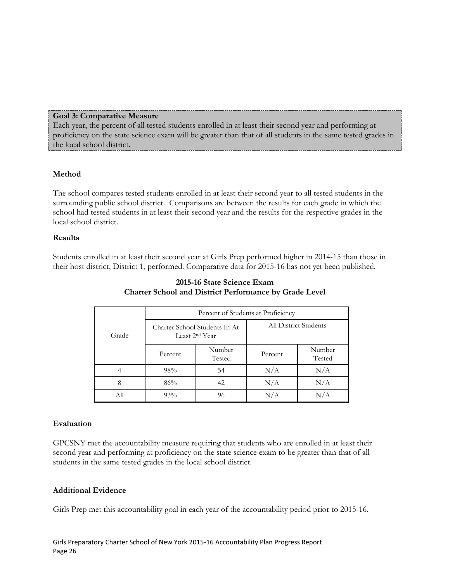## **Goal 3: Comparative Measure**

Each year, the percent of all tested students enrolled in at least their second year and performing at proficiency on the state science exam will be greater than that of all students in the same tested grades in the local school district.

## **Method**

The school compares tested students enrolled in at least their second year to all tested students in the surrounding public school district. Comparisons are between the results for each grade in which the school had tested students in at least their second year and the results for the respective grades in the local school district.

#### **Results**

Students enrolled in at least their second year at Girls Prep performed higher in 2014-15 than those in their host district, District 1, performed. Comparative data for 2015-16 has not yet been published.

|       | Percent of Students at Proficiency |                                                             |                              |                  |  |  |  |
|-------|------------------------------------|-------------------------------------------------------------|------------------------------|------------------|--|--|--|
| Grade |                                    | Charter School Students In At<br>Least 2 <sup>nd</sup> Year | <b>All District Students</b> |                  |  |  |  |
|       | Percent                            | Number<br>Tested                                            | Percent                      | Number<br>Tested |  |  |  |
|       | 98%                                | 54                                                          | N/A                          | N/A              |  |  |  |
| 8     | 86%                                | 42                                                          | N/A                          | N/A              |  |  |  |
| All   | 93%                                | 96                                                          | N/A                          | N/A              |  |  |  |

# **2015-16 State Science Exam Charter School and District Performance by Grade Level**

#### **Evaluation**

GPCSNY met the accountability measure requiring that students who are enrolled in at least their second year and performing at proficiency on the state science exam to be greater than that of all students in the same tested grades in the local school district.

#### **Additional Evidence**

Girls Prep met this accountability goal in each year of the accountability period prior to 2015-16.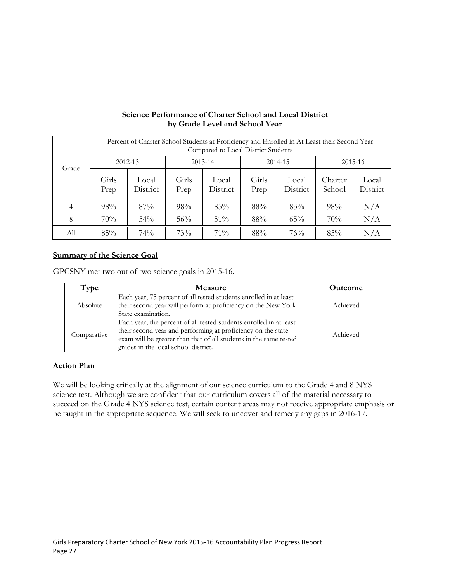|                | Percent of Charter School Students at Proficiency and Enrolled in At Least their Second Year<br>Compared to Local District Students |                   |               |                   |               |                   |                   |                   |
|----------------|-------------------------------------------------------------------------------------------------------------------------------------|-------------------|---------------|-------------------|---------------|-------------------|-------------------|-------------------|
| Grade          |                                                                                                                                     | $2012 - 13$       |               | 2013-14           |               | 2014-15           |                   | $2015 - 16$       |
|                | Girls<br>Prep                                                                                                                       | Local<br>District | Girls<br>Prep | Local<br>District | Girls<br>Prep | Local<br>District | Charter<br>School | Local<br>District |
| $\overline{4}$ | 98%                                                                                                                                 | 87%               | 98%           | 85%               | 88%           | 83%               | 98%               | N/A               |
| 8              | 70%                                                                                                                                 | $54\%$            | 56%           | 51%               | 88%           | 65%               | 70%               | N/A               |
| All            | 85%                                                                                                                                 | 74%               | 73%           | 71%               | 88%           | 76%               | 85%               | N/A               |

# **Science Performance of Charter School and Local District by Grade Level and School Year**

## **Summary of the Science Goal**

GPCSNY met two out of two science goals in 2015-16.

| Type        | <b>Measure</b>                                                                                                                                                                                                                                  | Outcome  |
|-------------|-------------------------------------------------------------------------------------------------------------------------------------------------------------------------------------------------------------------------------------------------|----------|
| Absolute    | Each year, 75 percent of all tested students enrolled in at least<br>their second year will perform at proficiency on the New York<br>State examination.                                                                                        | Achieved |
| Comparative | Each year, the percent of all tested students enrolled in at least<br>their second year and performing at proficiency on the state<br>exam will be greater than that of all students in the same tested<br>grades in the local school district. | Achieved |

# **Action Plan**

We will be looking critically at the alignment of our science curriculum to the Grade 4 and 8 NYS science test. Although we are confident that our curriculum covers all of the material necessary to succeed on the Grade 4 NYS science test, certain content areas may not receive appropriate emphasis or be taught in the appropriate sequence. We will seek to uncover and remedy any gaps in 2016-17.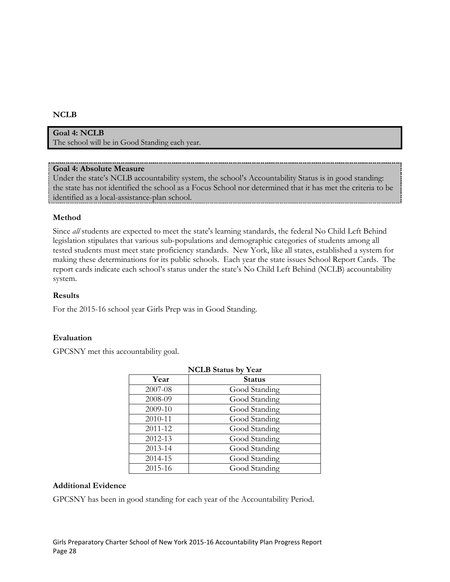# **Goal 4: NCLB**

The school will be in Good Standing each year.

## **Goal 4: Absolute Measure**

Under the state's NCLB accountability system, the school's Accountability Status is in good standing: the state has not identified the school as a Focus School nor determined that it has met the criteria to be identified as a local-assistance-plan school.

## **Method**

Since *all* students are expected to meet the state's learning standards, the federal No Child Left Behind legislation stipulates that various sub-populations and demographic categories of students among all tested students must meet state proficiency standards. New York, like all states, established a system for making these determinations for its public schools. Each year the state issues School Report Cards. The report cards indicate each school's status under the state's No Child Left Behind (NCLB) accountability system.

## **Results**

For the 2015-16 school year Girls Prep was in Good Standing.

# **Evaluation**

GPCSNY met this accountability goal.

| <b>NCLB</b> Status by Year |               |  |  |  |  |
|----------------------------|---------------|--|--|--|--|
| Year                       | <b>Status</b> |  |  |  |  |
| 2007-08                    | Good Standing |  |  |  |  |
| 2008-09                    | Good Standing |  |  |  |  |
| 2009-10                    | Good Standing |  |  |  |  |
| 2010-11                    | Good Standing |  |  |  |  |
| 2011-12                    | Good Standing |  |  |  |  |
| 2012-13                    | Good Standing |  |  |  |  |
| 2013-14                    | Good Standing |  |  |  |  |
| 2014-15                    | Good Standing |  |  |  |  |
| 2015-16                    | Good Standing |  |  |  |  |

## **Additional Evidence**

GPCSNY has been in good standing for each year of the Accountability Period.